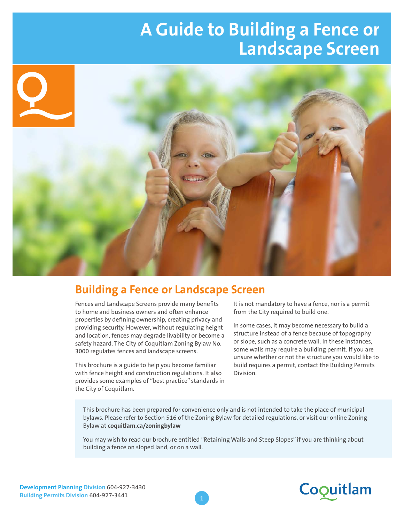# **A Guide to Building a Fence or Landscape Screen**



#### **Building a Fence or Landscape Screen**

Fences and Landscape Screens provide many benefits to home and business owners and often enhance properties by defining ownership, creating privacy and providing security. However, without regulating height and location, fences may degrade livability or become a safety hazard. The City of Coquitlam Zoning Bylaw No. 3000 regulates fences and landscape screens.

This brochure is a guide to help you become familiar with fence height and construction regulations. It also provides some examples of "best practice" standards in the City of Coquitlam.

It is not mandatory to have a fence, nor is a permit from the City required to build one.

In some cases, it may become necessary to build a structure instead of a fence because of topography or slope, such as a concrete wall. In these instances, some walls may require a building permit. If you are unsure whether or not the structure you would like to build requires a permit, contact the Building Permits Division.

This brochure has been prepared for convenience only and is not intended to take the place of municipal bylaws. Please refer to Section 516 of the Zoning Bylaw for detailed regulations, or visit our online Zoning Bylaw at **coquitlam.ca/zoningbylaw**

You may wish to read our brochure entitled "Retaining Walls and Steep Slopes" if you are thinking about building a fence on sloped land, or on a wall.



**1**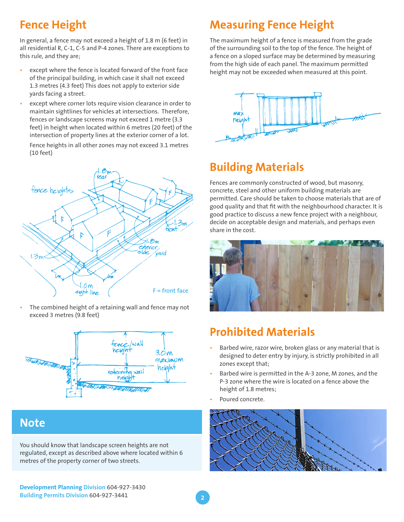## **Fence Height**

In general, a fence may not exceed a height of 1.8 m (6 feet) in all residential R, C-1, C-5 and P-4 zones. There are exceptions to this rule, and they are;

- except where the fence is located forward of the front face of the principal building, in which case it shall not exceed 1.3 metres (4.3 feet) This does not apply to exterior side yards facing a street.
- except where corner lots require vision clearance in order to maintain sightlines for vehicles at intersections. Therefore, fences or landscape screens may not exceed 1 metre (3.3 feet) in height when located within 6 metres (20 feet) of the intersection of property lines at the exterior corner of a lot.

Fence heights in all other zones may not exceed 3.1 metres (10 feet)



The combined height of a retaining wall and fence may not exceed 3 metres (9.8 feet)



#### **Note**

You should know that landscape screen heights are not regulated, except as described above where located within 6 metres of the property corner of two streets.

**Development Planning Division** 604-927-3430 **Building Permits Division** 604-927-3441

## **Measuring Fence Height**

The maximum height of a fence is measured from the grade of the surrounding soil to the top of the fence. The height of a fence on a sloped surface may be determined by measuring from the high side of each panel. The maximum permitted height may not be exceeded when measured at this point.



## **Building Materials**

Fences are commonly constructed of wood, but masonry, concrete, steel and other uniform building materials are permitted. Care should be taken to choose materials that are of good quality and that fit with the neighbourhood character. It is good practice to discuss a new fence project with a neighbour, decide on acceptable design and materials, and perhaps even share in the cost.



#### **Prohibited Materials**

- Barbed wire, razor wire, broken glass or any material that is designed to deter entry by injury, is strictly prohibited in all zones except that;
- Barbed wire is permitted in the A-3 zone, M zones, and the P-3 zone where the wire is located on a fence above the height of 1.8 metres;
- Poured concrete.

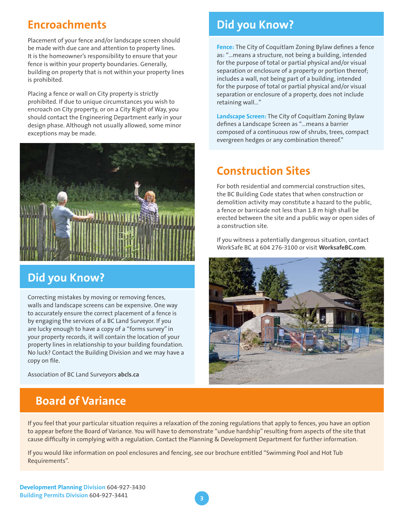#### **Encroachments**

Placement of your fence and/or landscape screen should be made with due care and attention to property lines. It is the homeowner's responsibility to ensure that your fence is within your property boundaries. Generally, building on property that is not within your property lines is prohibited.

Placing a fence or wall on City property is strictly prohibited. If due to unique circumstances you wish to encroach on City property, or on a City Right of Way, you should contact the Engineering Department early in your design phase. Although not usually allowed, some minor exceptions may be made.



#### **Did you Know?**

Correcting mistakes by moving or removing fences, walls and landscape screens can be expensive. One way to accurately ensure the correct placement of a fence is by engaging the services of a BC Land Surveyor. If you are lucky enough to have a copy of a "forms survey" in your property records, it will contain the location of your property lines in relationship to your building foundation. No luck? Contact the Building Division and we may have a copy on file.

Association of BC Land Surveyors **abcls.ca**

#### **Board of Variance**

#### **Did you Know?**

**Fence:** The City of Coquitlam Zoning Bylaw defines a fence as: "…means a structure, not being a building, intended for the purpose of total or partial physical and/or visual separation or enclosure of a property or portion thereof; includes a wall, not being part of a building, intended for the purpose of total or partial physical and/or visual separation or enclosure of a property, does not include retaining wall…"

**Landscape Screen:** The City of Coquitlam Zoning Bylaw defines a Landscape Screen as "…means a barrier composed of a continuous row of shrubs, trees, compact evergreen hedges or any combination thereof."

#### **Construction Sites**

For both residential and commercial construction sites, the BC Building Code states that when construction or demolition activity may constitute a hazard to the public, a fence or barricade not less than 1.8 m high shall be erected between the site and a public way or open sides of a construction site.

If you witness a potentially dangerous situation, contact WorkSafe BC at 604 276-3100 or visit **WorksafeBC.com**.



If you feel that your particular situation requires a relaxation of the zoning regulations that apply to fences, you have an option to appear before the Board of Variance. You will have to demonstrate "undue hardship" resulting from aspects of the site that cause difficulty in complying with a regulation. Contact the Planning & Development Department for further information.

**3**

If you would like information on pool enclosures and fencing, see our brochure entitled "Swimming Pool and Hot Tub Requirements".

**Development Planning Division** 604-927-3430 **Building Permits Division** 604-927-3441